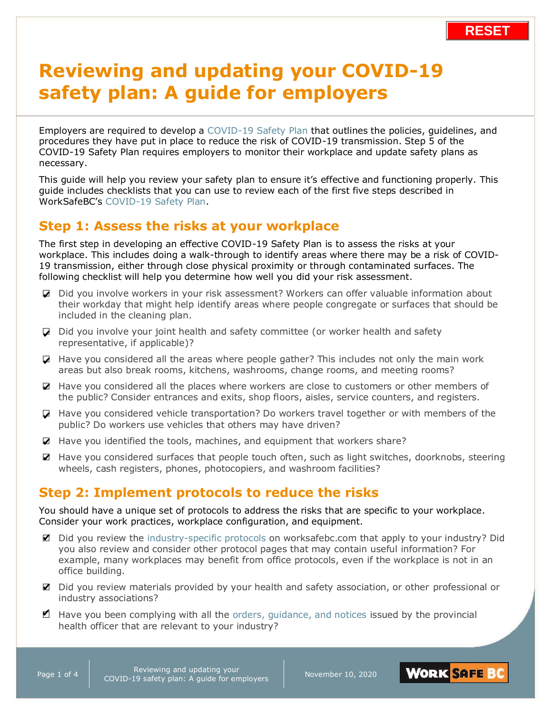# **Reviewing and updating your COVID-19 safety plan: A guide for employers**

Employers are required to develop a [COVID-19 Safety Plan](http://www.worksafebc.com/en/resources/health-safety/checklist/covid-19-safety-plan?lang=en) that outlines the policies, guidelines, and procedures they have put in place to reduce the risk of COVID-19 transmission. Step 5 of the COVID-19 Safety Plan requires employers to monitor their workplace and update safety plans as necessary.

This guide will help you review your safety plan to ensure it's effective and functioning properly. This guide include[s checklists that you can](http://www.worksafebc.com/en/resources/health-safety/checklist/covid-19-safety-plan?lang=en) use to review each of the first five steps described in WorkSafeBC's COVID-19 Safety Plan.

## **Step 1: Assess the risks at your workplace**

The first step in developing an effective COVID-19 Safety Plan is to assess the risks at your workplace. This includes doing a walk-through to identify areas where there may be a risk of COVID-19 transmission, either through close physical proximity or through contaminated surfaces. The following checklist will help you determine how well you did your risk assessment.

- Did you involve workers in your risk assessment? Workers can offer valuable information about ✔ their workday that might help identify areas where people congregate or surfaces that should be included in the cleaning plan.
- Did you involve your joint health and safety committee (or worker health and safety ✔ representative, if applicable)?
- Have you considered all the areas where people gather? This includes not only the main work ✔ areas but also break rooms, kitchens, washrooms, change rooms, and meeting rooms?
- $\triangledown$  Have you considered all the places where workers are close to customers or other members of the public? Consider entrances and exits, shop floors, aisles, service counters, and registers.
- Have you considered vehicle transportation? Do workers travel together or with members of the ✔ public? Do workers use vehicles that others may have driven?
- Have you identified the tools, machines, and equipment that workers share?
- Have you considered surfaces that people touch often, such as light switches, doorknobs, steering wheels, cash registers, phones, photocopiers, and washroom facilities?

### **Step 2: Implement protocols to reduce the risks**

You should have a unique set of protocols to address the risks that are specific to your workplace. Consider your work practices, workplace configuration, and equipment.

- Did you review the [industry-specific protocols](https://www.worksafebc.com/en/about-us/covid-19-updates/covid-19-returning-safe-operation) on worksafebc.com that apply to your industry? Did you also review and consider other protocol pages that may contain useful information? For example, many workplaces may benefit from office protocols, even if the workplace is not in an office building.
- Did you review materials provided by your health and safety association, or other professional or industry associations?
- $\blacktriangleright$  Have you been complying with all the [orders, guidance, and notices](https://www2.gov.bc.ca/gov/content/health/about-bc-s-health-care-system/office-of-the-provincial-health-officer/current-health-topics/covid-19-novel-coronavirus) issued by the provincial health officer that are relevant to your industry?

Page 1 of 4

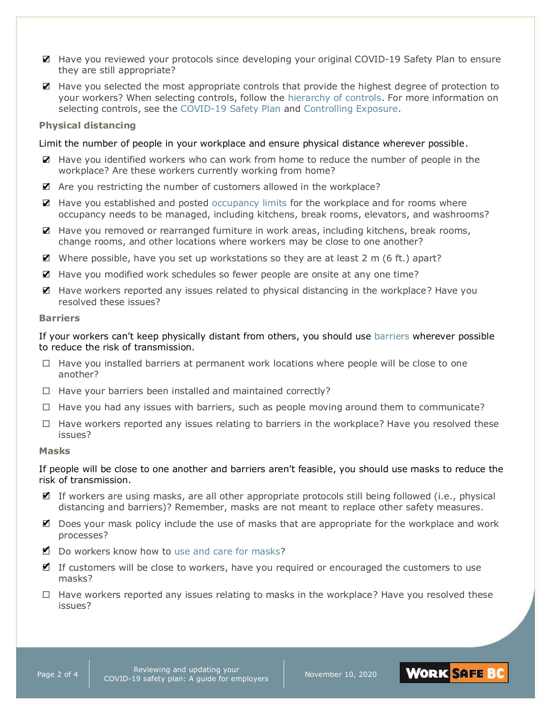- Have you reviewed your protocols since developing your original COVID-19 Safety Plan to ensure they are still appropriate?
- $\blacksquare$  Have you selected the most appropriate controls that provide the highest degree of protection to your workers? When selecting controls, follow the [hierarchy of controls.](https://www.worksafebc.com/en/health-safety/create-manage/managing-risk/controlling-risks?origin=s&returnurl=https%3A%2F%2Fwww.worksafebc.com%2Fen%2Fsearch%23q%3Drisk%2520controls%26sort%3Drelevancy) For more information on selecting controls, see the [COVID-19 Safety Plan](http://www.worksafebc.com/en/resources/health-safety/checklist/covid-19-safety-plan?lang=en) and [Controlling Exposure.](https://www.worksafebc.com/en/about-us/covid-19-updates/health-and-safety/staying-safe-at-work)

#### **Physical distancing**

#### Limit the number of people in your workplace and ensure physical distance wherever possible.

- $\triangledown$  Have you identified workers who can work from home to reduce the number of people in the workplace? Are these workers currently working from home?
- $\blacksquare$  Are you restricting the number of customers allowed in the workplace?
- $\blacksquare$  Have you established and posted [occupancy limits](https://www.worksafebc.com/en/resources/health-safety/posters/help-prevent-spread-covid-19-occupancy-limit?lang=en) for the workplace and for rooms where occupancy needs to be managed, including kitchens, break rooms, elevators, and washrooms?
- Have you removed or rearranged furniture in work areas, including kitchens, break rooms, change rooms, and other locations where workers may be close to one another?
- $\blacksquare$  Where possible, have you set up workstations so they are at least 2 m (6 ft.) apart?
- Have you modified work schedules so fewer people are onsite at any one time?
- $\blacksquare$  Have workers reported any issues related to physical distancing in the workplace? Have you resolved these issues?

#### **Barriers**

If your workers can't keep physically distant from others, you should use [barriers](https://www.worksafebc.com/en/resources/health-safety/information-sheets/covid-19-health-safety-designing-effective-barriers?lang=en) wherever possible to reduce the risk of transmission.

- $\Box$  Have you installed barriers at permanent work locations where people will be close to one another?
- $\Box$  Have your barriers been installed and maintained correctly?
- $\Box$  Have you had any issues with barriers, such as people moving around them to communicate?
- $\Box$  Have workers reported any issues relating to barriers in the workplace? Have you resolved these issues?

#### **Masks**

If people will be close to one another and barriers aren't feasible, you should use masks to reduce the risk of transmission.

- $\blacksquare$  If workers are using masks, are all other appropriate protocols still being followed (i.e., physical distancing and barriers)? Remember, masks are not meant to replace other safety measures.
- $\blacksquare$  Does your mask policy include the use of masks that are appropriate for the workplace and work processes?
- Do workers know how to [use and care for masks?](https://www.worksafebc.com/en/resources/health-safety/posters/help-prevent-spread-covid-19-how-to-use-mask?lang=en)
- $\blacksquare$  If customers will be close to workers, have you required or encouraged the customers to use masks?
- $\Box$  Have workers reported any issues relating to masks in the workplace? Have you resolved these issues?

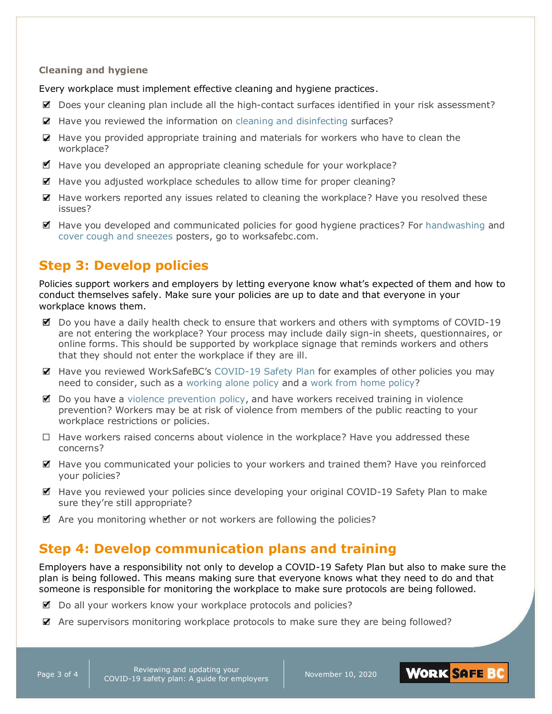#### **Cleaning and hygiene**

Every workplace must implement effective cleaning and hygiene practices.

- Does your cleaning plan include all the high-contact surfaces identified in your risk assessment?
- Have you reviewed the information on [cleaning and disinfecting](https://www.worksafebc.com/en/resources/health-safety/information-sheets/covid-19-health-safety-cleaning-disinfecting?lang=en) surfaces?
- $\triangledown$  Have you provided appropriate training and materials for workers who have to clean the workplace?
- Have you developed an appropriate cleaning schedule for your workplace?
- Have you adjusted workplace schedules to allow time for proper cleaning?
- Have workers reported any issues related to cleaning the workplace? Have you resolved these issues?
- Have you developed and communicated policies for good hygiene practices? For [handwashing](https://www.worksafebc.com/en/resources/health-safety/posters/help-prevent-spread-covid-19-handwashing?lang=en) and [cover cough and sneezes](https://www.worksafebc.com/en/resources/health-safety/posters/help-prevent-spread-covid-19-cover-coughs-sneezes?lang=en) posters, go to worksafebc.com.

## **Step 3: Develop policies**

Policies support workers and employers by letting everyone know what's expected of them and how to conduct themselves safely. Make sure your policies are up to date and that everyone in your workplace knows them.

- Do you have a daily health check to ensure that workers and others with symptoms of COVID-19 are not entering the workplace? Your process may include daily sign-in sheets, questionnaires, or online forms. This should be supported by workplace signage that reminds workers and others that they should not enter the workplace if they are ill.
- Have you reviewed WorkSafeBC's [COVID-19 Safety Plan](http://www.worksafebc.com/en/resources/health-safety/checklist/covid-19-safety-plan?lang=en) for examples of other policies you may need to consider, such as a [working alone policy](https://www.worksafebc.com/en/health-safety/hazards-exposures/working-alone) and a [work from home policy?](https://www.worksafebc.com/en/resources/health-safety/information-sheets/working-from-home-guide-keeping-workers-healthy-safe?lang=en)
- Do you have a [violence prevention policy,](https://www.worksafebc.com/en/health-safety/hazards-exposures/violence) and have workers received training in violence prevention? Workers may be at risk of violence from members of the public reacting to your workplace restrictions or policies.
- $\Box$  Have workers raised concerns about violence in the workplace? Have you addressed these concerns?
- Have you communicated your policies to your workers and trained them? Have you reinforced your policies?
- Have you reviewed your policies since developing your original COVID-19 Safety Plan to make sure they're still appropriate?
- Are you monitoring whether or not workers are following the policies?

### **Step 4: Develop communication plans and training**

Employers have a responsibility not only to develop a COVID-19 Safety Plan but also to make sure the plan is being followed. This means making sure that everyone knows what they need to do and that someone is responsible for monitoring the workplace to make sure protocols are being followed.

- Do all your workers know your workplace protocols and policies?
- Are supervisors monitoring workplace protocols to make sure they are being followed?